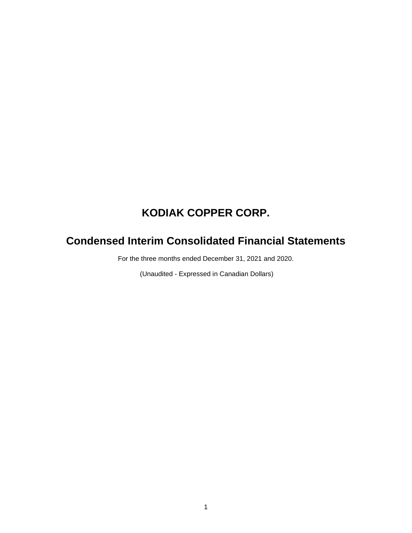# **Condensed Interim Consolidated Financial Statements**

For the three months ended December 31, 2021 and 2020.

(Unaudited - Expressed in Canadian Dollars)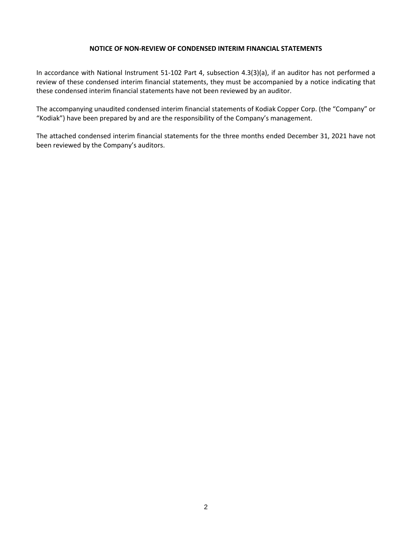#### **NOTICE OF NON-REVIEW OF CONDENSED INTERIM FINANCIAL STATEMENTS**

In accordance with National Instrument 51-102 Part 4, subsection 4.3(3)(a), if an auditor has not performed a review of these condensed interim financial statements, they must be accompanied by a notice indicating that these condensed interim financial statements have not been reviewed by an auditor.

The accompanying unaudited condensed interim financial statements of Kodiak Copper Corp. (the "Company" or "Kodiak") have been prepared by and are the responsibility of the Company's management.

The attached condensed interim financial statements for the three months ended December 31, 2021 have not been reviewed by the Company's auditors.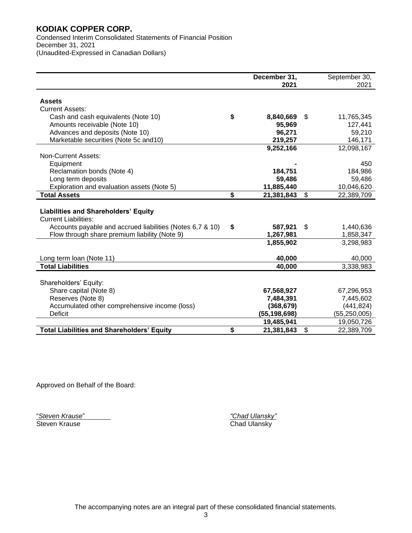Condensed Interim Consolidated Statements of Financial Position December 31, 2021 (Unaudited-Expressed in Canadian Dollars)

|                                                           | December 31,     | September 30,    |
|-----------------------------------------------------------|------------------|------------------|
|                                                           | 2021             | 2021             |
|                                                           |                  |                  |
| <b>Assets</b>                                             |                  |                  |
| <b>Current Assets:</b>                                    |                  |                  |
| Cash and cash equivalents (Note 10)                       | \$<br>8,840,669  | \$<br>11,765,345 |
| Amounts receivable (Note 10)                              | 95,969           | 127,441          |
| Advances and deposits (Note 10)                           | 96,271           | 59,210           |
| Marketable securities (Note 5c and 10)                    | 219,257          | 146,171          |
|                                                           | 9,252,166        | 12,098,167       |
| <b>Non-Current Assets:</b>                                |                  |                  |
| Equipment                                                 |                  | 450              |
| Reclamation bonds (Note 4)                                | 184,751          | 184,986          |
| Long term deposits                                        | 59,486           | 59,486           |
| Exploration and evaluation assets (Note 5)                | 11,885,440       | 10,046,620       |
| <b>Total Assets</b>                                       | \$<br>21,381,843 | \$<br>22,389,709 |
|                                                           |                  |                  |
| <b>Liabilities and Shareholders' Equity</b>               |                  |                  |
| <b>Current Liabilities:</b>                               |                  |                  |
| Accounts payable and accrued liabilities (Notes 6,7 & 10) | \$<br>587,921    | \$<br>1,440,636  |
| Flow through share premium liability (Note 9)             | 1,267,981        | 1,858,347        |
|                                                           | 1,855,902        | 3,298,983        |
|                                                           |                  |                  |
| Long term loan (Note 11)                                  | 40,000           | 40,000           |
| <b>Total Liabilities</b>                                  | 40,000           | 3,338,983        |
|                                                           |                  |                  |
| Shareholders' Equity:                                     |                  |                  |
| Share capital (Note 8)                                    | 67,568,927       | 67,296,953       |
| Reserves (Note 8)                                         | 7,484,391        | 7,445,602        |
| Accumulated other comprehensive income (loss)             | (368, 679)       | (441, 824)       |
| Deficit                                                   | (55,198,698)     | (55, 250, 005)   |
|                                                           | 19,485,941       | 19,050,726       |
| <b>Total Liabilities and Shareholders' Equity</b>         | \$<br>21,381,843 | \$<br>22,389,709 |

Approved on Behalf of the Board:

"*Steven Krause*" *"Chad Ulansky"*

Chad Ulansky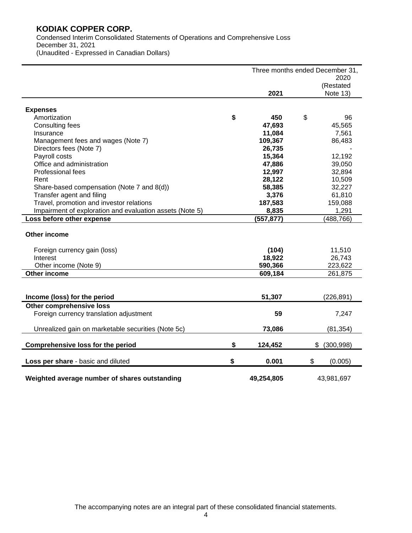Condensed Interim Consolidated Statements of Operations and Comprehensive Loss December 31, 2021 (Unaudited - Expressed in Canadian Dollars)

|                                                          |               | Three months ended December 31, |
|----------------------------------------------------------|---------------|---------------------------------|
|                                                          |               | 2020                            |
|                                                          | 2021          | (Restated                       |
|                                                          |               | Note 13)                        |
| <b>Expenses</b>                                          |               |                                 |
| Amortization                                             | \$<br>450     | \$<br>96                        |
| Consulting fees                                          | 47,693        | 45,565                          |
| Insurance                                                | 11,084        | 7,561                           |
| Management fees and wages (Note 7)                       | 109,367       | 86,483                          |
| Directors fees (Note 7)                                  | 26,735        |                                 |
| Payroll costs                                            | 15,364        | 12,192                          |
| Office and administration                                | 47,886        | 39,050                          |
| Professional fees                                        | 12,997        | 32,894                          |
| Rent                                                     | 28,122        | 10,509                          |
| Share-based compensation (Note 7 and 8(d))               | 58,385        | 32,227                          |
| Transfer agent and filing                                | 3,376         | 61,810                          |
| Travel, promotion and investor relations                 | 187,583       | 159,088                         |
| Impairment of exploration and evaluation assets (Note 5) | 8,835         | 1,291                           |
| Loss before other expense                                | (557, 877)    | (488, 766)                      |
| Other income                                             |               |                                 |
| Foreign currency gain (loss)                             | (104)         | 11,510                          |
| Interest                                                 | 18,922        | 26,743                          |
| Other income (Note 9)                                    | 590,366       | 223,622                         |
| Other income                                             | 609,184       | 261,875                         |
|                                                          |               |                                 |
| Income (loss) for the period                             | 51,307        | (226, 891)                      |
| Other comprehensive loss                                 |               |                                 |
| Foreign currency translation adjustment                  | 59            | 7,247                           |
| Unrealized gain on marketable securities (Note 5c)       | 73,086        | (81, 354)                       |
| <b>Comprehensive loss for the period</b>                 | \$<br>124,452 | (300, 998)<br>\$                |
| Loss per share - basic and diluted                       | \$<br>0.001   | \$<br>(0.005)                   |
|                                                          |               |                                 |
| Weighted average number of shares outstanding            | 49,254,805    | 43,981,697                      |

The accompanying notes are an integral part of these consolidated financial statements.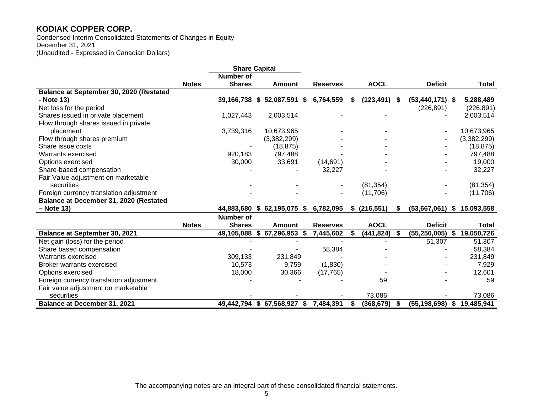Condensed Interim Consolidated Statements of Changes in Equity December 31, 2021 (Unaudited - Expressed in Canadian Dollars)

|                                         |              | <b>Share Capital</b> |                                     |                 |    |             |      |                     |      |              |
|-----------------------------------------|--------------|----------------------|-------------------------------------|-----------------|----|-------------|------|---------------------|------|--------------|
|                                         |              | Number of            |                                     |                 |    |             |      |                     |      |              |
|                                         | <b>Notes</b> | <b>Shares</b>        | <b>Amount</b>                       | <b>Reserves</b> |    | <b>AOCL</b> |      | <b>Deficit</b>      |      | Total        |
| Balance at September 30, 2020 (Restated |              |                      |                                     |                 |    |             |      |                     |      |              |
| - Note 13)                              |              | 39,166,738 \$        | 52,087,591 \$                       | 6,764,559       | S  | (123, 491)  | - S  | $(53, 440, 171)$ \$ |      | 5,288,489    |
| Net loss for the period                 |              |                      |                                     |                 |    |             |      | (226, 891)          |      | (226, 891)   |
| Shares issued in private placement      |              | 1,027,443            | 2,003,514                           |                 |    |             |      |                     |      | 2,003,514    |
| Flow through shares issued in private   |              |                      |                                     |                 |    |             |      |                     |      |              |
| placement                               |              | 3,739,316            | 10,673,965                          |                 |    |             |      |                     |      | 10,673,965   |
| Flow through shares premium             |              |                      | (3,382,299)                         |                 |    |             |      |                     |      | (3,382,299)  |
| Share issue costs                       |              |                      | (18, 875)                           |                 |    |             |      |                     |      | (18, 875)    |
| Warrants exercised                      |              | 920,183              | 797,488                             |                 |    |             |      |                     |      | 797,488      |
| Options exercised                       |              | 30,000               | 33,691                              | (14,691)        |    |             |      |                     |      | 19,000       |
| Share-based compensation                |              |                      |                                     | 32,227          |    |             |      |                     |      | 32,227       |
| Fair Value adjustment on marketable     |              |                      |                                     |                 |    |             |      |                     |      |              |
| securities                              |              |                      |                                     |                 |    | (81, 354)   |      |                     |      | (81, 354)    |
| Foreign currency translation adjustment |              |                      |                                     |                 |    | (11,706)    |      |                     |      | (11, 706)    |
| Balance at December 31, 2020 (Restated  |              |                      |                                     |                 |    |             |      |                     |      |              |
| – Note 13)                              |              | 44,883,680           | $$62,195,075$ \$                    | 6,782,095       | \$ | (216, 551)  | S    | $(53,667,061)$ \$   |      | 15,093,558   |
|                                         |              | <b>Number of</b>     |                                     |                 |    |             |      |                     |      |              |
|                                         | <b>Notes</b> | <b>Shares</b>        | Amount                              | <b>Reserves</b> |    | <b>AOCL</b> |      | <b>Deficit</b>      |      | <b>Total</b> |
| <b>Balance at September 30, 2021</b>    |              | 49,105,088           | \$<br>67,296,953 \$                 | 7,445,602       | S  | (441, 824)  |      | $(55, 250, 005)$ \$ |      | 19,050,726   |
| Net gain (loss) for the period          |              |                      |                                     |                 |    |             |      | 51,307              |      | 51,307       |
| Share based compensation                |              |                      |                                     | 58,384          |    |             |      |                     |      | 58,384       |
| Warrants exercised                      |              | 309,133              | 231,849                             |                 |    |             |      |                     |      | 231,849      |
| Broker warrants exercised               |              | 10,573               | 9,759                               | (1,830)         |    |             |      |                     |      | 7,929        |
| Options exercised                       |              | 18,000               | 30,366                              | (17,765)        |    |             |      |                     |      | 12,601       |
| Foreign currency translation adjustment |              |                      |                                     |                 |    | 59          |      |                     |      | 59           |
| Fair value adjustment on marketable     |              |                      |                                     |                 |    |             |      |                     |      |              |
| securities                              |              |                      |                                     |                 |    | 73,086      |      |                     |      | 73,086       |
| Balance at December 31, 2021            |              |                      | 49,442,794 \$67,568,927 \$7,484,391 |                 | S  | (368, 679)  | - 56 | (55, 198, 698)      | - \$ | 19,485,941   |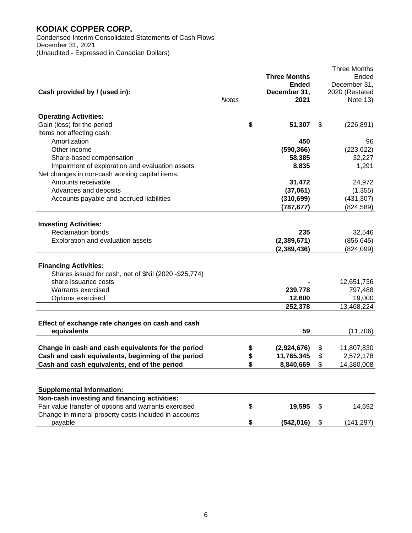Condensed Interim Consolidated Statements of Cash Flows December 31, 2021 (Unaudited - Expressed in Canadian Dollars)

|                                                       |              |                     | <b>Three Months</b> |
|-------------------------------------------------------|--------------|---------------------|---------------------|
|                                                       |              | <b>Three Months</b> | Ended               |
|                                                       |              | Ended               | December 31,        |
| Cash provided by / (used in):                         |              | December 31,        | 2020 (Restated      |
|                                                       | <b>Notes</b> | 2021                | Note $13)$          |
|                                                       |              |                     |                     |
| <b>Operating Activities:</b>                          |              |                     |                     |
| Gain (loss) for the period                            |              | \$<br>51,307        | \$<br>(226, 891)    |
| Items not affecting cash:                             |              |                     |                     |
| Amortization                                          |              | 450                 | 96                  |
| Other income                                          |              | (590, 366)          | (223, 622)          |
| Share-based compensation                              |              | 58,385              | 32,227              |
| Impairment of exploration and evaluation assets       |              | 8,835               | 1,291               |
| Net changes in non-cash working capital items:        |              |                     |                     |
| Amounts receivable                                    |              | 31,472              | 24,972              |
| Advances and deposits                                 |              | (37,061)            | (1, 355)            |
| Accounts payable and accrued liabilities              |              | (310, 699)          | (431, 307)          |
|                                                       |              | (787, 677)          | (824, 589)          |
|                                                       |              |                     |                     |
| <b>Investing Activities:</b>                          |              |                     |                     |
| <b>Reclamation bonds</b>                              |              | 235                 | 32,546              |
| Exploration and evaluation assets                     |              | (2,389,671)         | (856, 645)          |
|                                                       |              | (2,389,436)         | (824,099)           |
|                                                       |              |                     |                     |
| <b>Financing Activities:</b>                          |              |                     |                     |
| Shares issued for cash, net of \$Nil (2020 -\$25,774) |              |                     |                     |
| share issuance costs                                  |              |                     | 12,651,736          |
| Warrants exercised                                    |              | 239,778             | 797,488             |
| Options exercised                                     |              | 12,600              | 19,000              |
|                                                       |              | 252,378             | 13,468,224          |
|                                                       |              |                     |                     |
| Effect of exchange rate changes on cash and cash      |              |                     |                     |
| equivalents                                           |              | 59                  | (11,706)            |
|                                                       |              |                     |                     |
| Change in cash and cash equivalents for the period    |              | \$<br>(2,924,676)   | \$<br>11,807,830    |
| Cash and cash equivalents, beginning of the period    |              | \$<br>11,765,345    | \$<br>2,572,178     |
| Cash and cash equivalents, end of the period          |              | \$<br>8,840,669     | \$<br>14,380,008    |
|                                                       |              |                     |                     |
|                                                       |              |                     |                     |
| <b>Supplemental Information:</b>                      |              |                     |                     |
| Non-cash investing and financing activities:          |              |                     |                     |
| Fair value transfer of options and warrants exercised |              | \$<br>19,595        | \$<br>14,692        |
| Change in mineral property costs included in accounts |              |                     |                     |
| payable                                               |              | \$<br>(542, 016)    | \$<br>(141, 297)    |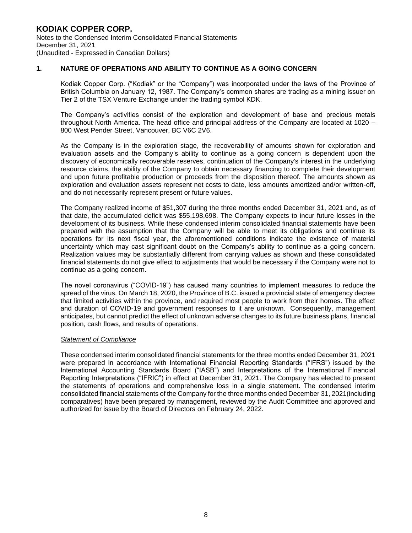#### **1. NATURE OF OPERATIONS AND ABILITY TO CONTINUE AS A GOING CONCERN**

 Kodiak Copper Corp. ("Kodiak" or the "Company") was incorporated under the laws of the Province of British Columbia on January 12, 1987. The Company's common shares are trading as a mining issuer on Tier 2 of the TSX Venture Exchange under the trading symbol KDK.

 The Company's activities consist of the exploration and development of base and precious metals throughout North America. The head office and principal address of the Company are located at 1020 – 800 West Pender Street, Vancouver, BC V6C 2V6.

 As the Company is in the exploration stage, the recoverability of amounts shown for exploration and evaluation assets and the Company's ability to continue as a going concern is dependent upon the discovery of economically recoverable reserves, continuation of the Company's interest in the underlying resource claims, the ability of the Company to obtain necessary financing to complete their development and upon future profitable production or proceeds from the disposition thereof. The amounts shown as exploration and evaluation assets represent net costs to date, less amounts amortized and/or written-off, and do not necessarily represent present or future values.

 The Company realized income of \$51,307 during the three months ended December 31, 2021 and, as of that date, the accumulated deficit was \$55,198,698. The Company expects to incur future losses in the development of its business. While these condensed interim consolidated financial statements have been prepared with the assumption that the Company will be able to meet its obligations and continue its operations for its next fiscal year, the aforementioned conditions indicate the existence of material uncertainty which may cast significant doubt on the Company's ability to continue as a going concern. Realization values may be substantially different from carrying values as shown and these consolidated financial statements do not give effect to adjustments that would be necessary if the Company were not to continue as a going concern.

The novel coronavirus ("COVID-19") has caused many countries to implement measures to reduce the spread of the virus. On March 18, 2020, the Province of B.C. issued a provincial state of emergency decree that limited activities within the province, and required most people to work from their homes. The effect and duration of COVID-19 and government responses to it are unknown. Consequently, management anticipates, but cannot predict the effect of unknown adverse changes to its future business plans, financial position, cash flows, and results of operations.

#### *Statement of Compliance*

 These condensed interim consolidated financial statements for the three months ended December 31, 2021 were prepared in accordance with International Financial Reporting Standards ("IFRS") issued by the International Accounting Standards Board ("IASB") and Interpretations of the International Financial Reporting Interpretations ("IFRIC") in effect at December 31, 2021. The Company has elected to present the statements of operations and comprehensive loss in a single statement. The condensed interim consolidated financial statements of the Company for the three months ended December 31, 2021(including comparatives) have been prepared by management, reviewed by the Audit Committee and approved and authorized for issue by the Board of Directors on February 24, 2022.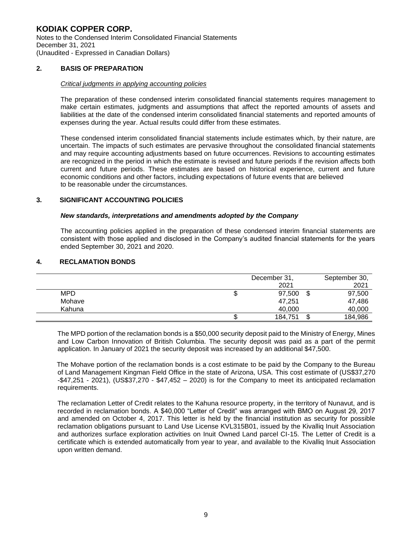#### **2. BASIS OF PREPARATION**

#### *Critical judgments in applying accounting policies*

 The preparation of these condensed interim consolidated financial statements requires management to make certain estimates, judgments and assumptions that affect the reported amounts of assets and liabilities at the date of the condensed interim consolidated financial statements and reported amounts of expenses during the year. Actual results could differ from these estimates.

 These condensed interim consolidated financial statements include estimates which, by their nature, are uncertain. The impacts of such estimates are pervasive throughout the consolidated financial statements and may require accounting adjustments based on future occurrences. Revisions to accounting estimates are recognized in the period in which the estimate is revised and future periods if the revision affects both current and future periods. These estimates are based on historical experience, current and future economic conditions and other factors, including expectations of future events that are believed to be reasonable under the circumstances.

#### **3. SIGNIFICANT ACCOUNTING POLICIES**

#### *New standards, interpretations and amendments adopted by the Company*

The accounting policies applied in the preparation of these condensed interim financial statements are consistent with those applied and disclosed in the Company's audited financial statements for the years ended September 30, 2021 and 2020.

#### **4. RECLAMATION BONDS**

|            |   | December 31, | September 30, |         |
|------------|---|--------------|---------------|---------|
|            |   | 2021         |               | 2021    |
| <b>MPD</b> | Ψ | 97,500       | S             | 97,500  |
| Mohave     |   | 47.251       |               | 47,486  |
| Kahuna     |   | 40.000       |               | 40,000  |
|            |   | 184,751      | ጥ<br>Œ        | 184,986 |

 The MPD portion of the reclamation bonds is a \$50,000 security deposit paid to the Ministry of Energy, Mines and Low Carbon Innovation of British Columbia. The security deposit was paid as a part of the permit application. In January of 2021 the security deposit was increased by an additional \$47,500.

 The Mohave portion of the reclamation bonds is a cost estimate to be paid by the Company to the Bureau of Land Management Kingman Field Office in the state of Arizona, USA. This cost estimate of (US\$37,270 -\$47,251 - 2021), (US\$37,270 - \$47,452 – 2020) is for the Company to meet its anticipated reclamation requirements.

The reclamation Letter of Credit relates to the Kahuna resource property, in the territory of Nunavut, and is recorded in reclamation bonds. A \$40,000 "Letter of Credit" was arranged with BMO on August 29, 2017 and amended on October 4, 2017. This letter is held by the financial institution as security for possible reclamation obligations pursuant to Land Use License KVL315B01, issued by the Kivalliq Inuit Association and authorizes surface exploration activities on Inuit Owned Land parcel CI-15. The Letter of Credit is a certificate which is extended automatically from year to year, and available to the Kivalliq Inuit Association upon written demand.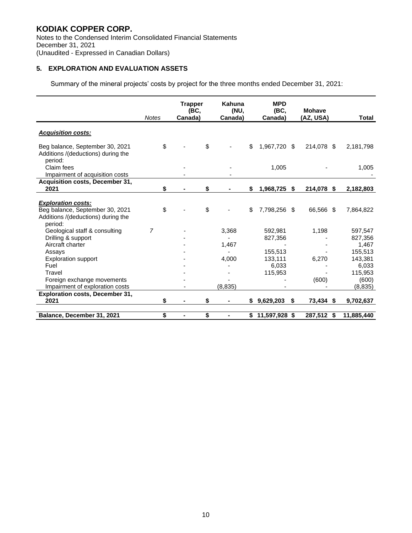Notes to the Condensed Interim Consolidated Financial Statements December 31, 2021 (Unaudited - Expressed in Canadian Dollars)

#### **5. EXPLORATION AND EVALUATION ASSETS**

Summary of the mineral projects' costs by project for the three months ended December 31, 2021:

|                                                                                                               | <b>Notes</b>   | <b>Trapper</b><br>(BC,<br>Canada) | Kahuna<br>(NU,<br>Canada) |    | <b>MPD</b><br>(BC,<br>Canada) | <b>Mohave</b><br>(AZ. USA) |     | <b>Total</b> |
|---------------------------------------------------------------------------------------------------------------|----------------|-----------------------------------|---------------------------|----|-------------------------------|----------------------------|-----|--------------|
| <b>Acquisition costs:</b>                                                                                     |                |                                   |                           |    |                               |                            |     |              |
| Beg balance, September 30, 2021<br>Additions /(deductions) during the<br>period:                              | \$             |                                   | \$                        | \$ | 1,967,720 \$                  | 214,078 \$                 |     | 2,181,798    |
| Claim fees                                                                                                    |                |                                   |                           |    | 1,005                         |                            |     | 1,005        |
| Impairment of acquisition costs                                                                               |                |                                   |                           |    |                               |                            |     |              |
| Acquisition costs, December 31,                                                                               |                |                                   |                           |    |                               |                            |     |              |
| 2021                                                                                                          | \$             |                                   | \$                        | \$ | 1,968,725                     | \$<br>214,078              | \$  | 2,182,803    |
| <b>Exploration costs:</b><br>Beg balance, September 30, 2021<br>Additions /(deductions) during the<br>period: | \$             |                                   | \$                        | \$ | 7,798,256 \$                  | 66,566 \$                  |     | 7,864,822    |
| Geological staff & consulting                                                                                 | $\overline{7}$ |                                   | 3,368                     |    | 592,981                       | 1,198                      |     | 597,547      |
| Drilling & support                                                                                            |                |                                   |                           |    | 827,356                       |                            |     | 827,356      |
| Aircraft charter                                                                                              |                |                                   | 1,467                     |    |                               |                            |     | 1,467        |
| Assays                                                                                                        |                |                                   |                           |    | 155.513                       |                            |     | 155,513      |
| <b>Exploration support</b>                                                                                    |                |                                   | 4.000                     |    | 133,111                       | 6.270                      |     | 143.381      |
| Fuel                                                                                                          |                |                                   |                           |    | 6,033                         |                            |     | 6,033        |
| Travel                                                                                                        |                |                                   |                           |    | 115,953                       |                            |     | 115,953      |
| Foreign exchange movements                                                                                    |                |                                   |                           |    |                               | (600)                      |     | (600)        |
| Impairment of exploration costs                                                                               |                |                                   | (8, 835)                  |    |                               |                            |     | (8, 835)     |
| <b>Exploration costs, December 31,</b>                                                                        |                |                                   |                           |    |                               |                            |     |              |
| 2021                                                                                                          | \$             |                                   |                           | S  | 9,629,203                     | \$<br>73,434               | -\$ | 9,702,637    |
| Balance, December 31, 2021                                                                                    | \$             |                                   | \$<br>۰                   |    | $$11,597,928$ \$              | 287,512 \$                 |     | 11,885,440   |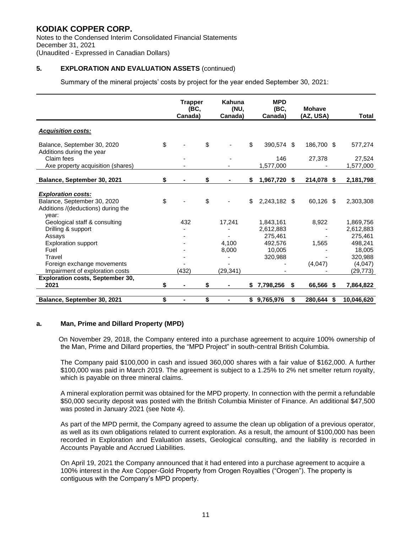Notes to the Condensed Interim Consolidated Financial Statements December 31, 2021 (Unaudited - Expressed in Canadian Dollars)

#### **5. EXPLORATION AND EVALUATION ASSETS** (continued)

Summary of the mineral projects' costs by project for the year ended September 30, 2021:

|                                                                | <b>Trapper</b> | (BC, | Kahuna<br>(NU, |    | <b>MPD</b><br>(BC, |     | <b>Mohave</b> |      |              |
|----------------------------------------------------------------|----------------|------|----------------|----|--------------------|-----|---------------|------|--------------|
|                                                                | Canada)        |      | Canada)        |    | Canada)            |     | (AZ, USA)     |      | <b>Total</b> |
| <b>Acquisition costs:</b>                                      |                |      |                |    |                    |     |               |      |              |
| \$<br>Balance, September 30, 2020<br>Additions during the year |                | \$   |                | \$ | 390,574 \$         |     | 186,700 \$    |      | 577,274      |
| Claim fees                                                     |                |      |                |    | 146                |     | 27,378        |      | 27,524       |
| Axe property acquisition (shares)                              |                |      |                |    | 1,577,000          |     |               |      | 1,577,000    |
| Balance, September 30, 2021<br>\$                              |                | \$   |                | S. | 1,967,720          | -\$ | 214,078       | - \$ | 2,181,798    |
| <b>Exploration costs:</b><br>\$<br>Balance, September 30, 2020 |                | \$   |                | \$ | 2,243,182 \$       |     | 60,126 \$     |      | 2,303,308    |
| Additions /(deductions) during the<br>year:                    |                |      |                |    |                    |     |               |      |              |
| Geological staff & consulting                                  | 432            |      | 17,241         |    | 1.843.161          |     | 8,922         |      | 1,869,756    |
| Drilling & support                                             |                |      |                |    | 2,612,883          |     |               |      | 2,612,883    |
| Assays                                                         |                |      |                |    | 275,461            |     |               |      | 275,461      |
| <b>Exploration support</b>                                     |                |      | 4,100          |    | 492.576            |     | 1.565         |      | 498,241      |
| Fuel                                                           |                |      | 8,000          |    | 10,005             |     |               |      | 18,005       |
| Travel                                                         |                |      |                |    | 320,988            |     |               |      | 320,988      |
| Foreign exchange movements                                     |                |      |                |    |                    |     | (4,047)       |      | (4,047)      |
| Impairment of exploration costs                                | (432)          |      | (29, 341)      |    |                    |     |               |      | (29, 773)    |
| <b>Exploration costs, September 30,</b><br>2021<br>\$          | $\blacksquare$ | \$   |                | \$ | 7,798,256          | \$  | 66,566 \$     |      | 7,864,822    |
| \$<br>Balance, September 30, 2021                              | $\blacksquare$ | \$   |                |    | \$9,765,976        | \$  | 280,644       | -\$  | 10,046,620   |

#### **a. Man, Prime and Dillard Property (MPD)**

 On November 29, 2018, the Company entered into a purchase agreement to acquire 100% ownership of the Man, Prime and Dillard properties, the "MPD Project" in south-central British Columbia.

 The Company paid \$100,000 in cash and issued 360,000 shares with a fair value of \$162,000. A further \$100,000 was paid in March 2019. The agreement is subject to a 1.25% to 2% net smelter return royalty, which is payable on three mineral claims.

 A mineral exploration permit was obtained for the MPD property. In connection with the permit a refundable \$50,000 security deposit was posted with the British Columbia Minister of Finance. An additional \$47,500 was posted in January 2021 (see Note 4).

As part of the MPD permit, the Company agreed to assume the clean up obligation of a previous operator, as well as its own obligations related to current exploration. As a result, the amount of \$100,000 has been recorded in Exploration and Evaluation assets, Geological consulting, and the liability is recorded in Accounts Payable and Accrued Liabilities.

On April 19, 2021 the Company announced that it had entered into a purchase agreement to acquire a 100% interest in the Axe Copper-Gold Property from Orogen Royalties ("Orogen"). The property is contiguous with the Company's MPD property.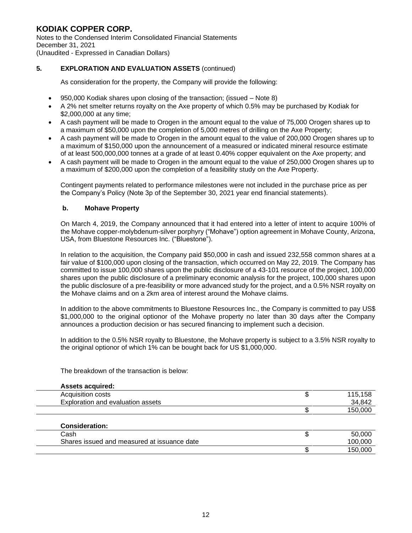Notes to the Condensed Interim Consolidated Financial Statements December 31, 2021 (Unaudited - Expressed in Canadian Dollars)

#### **5. EXPLORATION AND EVALUATION ASSETS** (continued)

As consideration for the property, the Company will provide the following:

- 950,000 Kodiak shares upon closing of the transaction; (issued Note 8)
- A 2% net smelter returns royalty on the Axe property of which 0.5% may be purchased by Kodiak for \$2,000,000 at any time;
- A cash payment will be made to Orogen in the amount equal to the value of 75,000 Orogen shares up to a maximum of \$50,000 upon the completion of 5,000 metres of drilling on the Axe Property;
- A cash payment will be made to Orogen in the amount equal to the value of 200,000 Orogen shares up to a maximum of \$150,000 upon the announcement of a measured or indicated mineral resource estimate of at least 500,000,000 tonnes at a grade of at least 0.40% copper equivalent on the Axe property; and
- A cash payment will be made to Orogen in the amount equal to the value of 250,000 Orogen shares up to a maximum of \$200,000 upon the completion of a feasibility study on the Axe Property.

Contingent payments related to performance milestones were not included in the purchase price as per the Company's Policy (Note 3p of the September 30, 2021 year end financial statements).

#### **b. Mohave Property**

 On March 4, 2019, the Company announced that it had entered into a letter of intent to acquire 100% of the Mohave copper-molybdenum-silver porphyry ("Mohave") option agreement in Mohave County, Arizona, USA, from Bluestone Resources Inc. ("Bluestone").

 In relation to the acquisition, the Company paid \$50,000 in cash and issued 232,558 common shares at a fair value of \$100,000 upon closing of the transaction, which occurred on May 22, 2019. The Company has committed to issue 100,000 shares upon the public disclosure of a 43-101 resource of the project, 100,000 shares upon the public disclosure of a preliminary economic analysis for the project, 100,000 shares upon the public disclosure of a pre-feasibility or more advanced study for the project, and a 0.5% NSR royalty on the Mohave claims and on a 2km area of interest around the Mohave claims.

 In addition to the above commitments to Bluestone Resources Inc., the Company is committed to pay US\$ \$1,000,000 to the original optionor of the Mohave property no later than 30 days after the Company announces a production decision or has secured financing to implement such a decision.

 In addition to the 0.5% NSR royalty to Bluestone, the Mohave property is subject to a 3.5% NSR royalty to the original optionor of which 1% can be bought back for US \$1,000,000.

The breakdown of the transaction is below:

| <b>Assets acquired:</b>                     |         |
|---------------------------------------------|---------|
| Acquisition costs                           | 115,158 |
| Exploration and evaluation assets           | 34,842  |
|                                             | 150,000 |
| <b>Consideration:</b>                       |         |
| Cash                                        | 50,000  |
| Shares issued and measured at issuance date | 100,000 |
|                                             | 150,000 |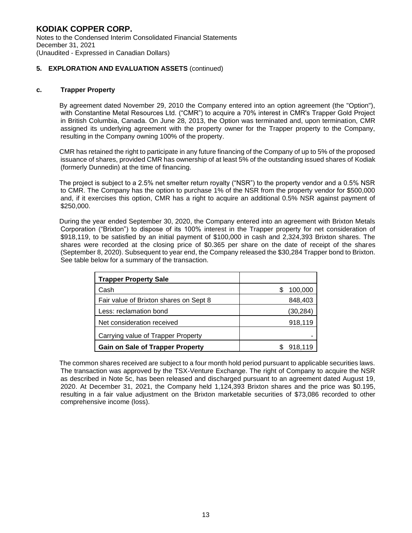**KODIAK COPPER CORP.**  Notes to the Condensed Interim Consolidated Financial Statements December 31, 2021 (Unaudited - Expressed in Canadian Dollars)

#### **5. EXPLORATION AND EVALUATION ASSETS** (continued)

#### **c. Trapper Property**

 By agreement dated November 29, 2010 the Company entered into an option agreement (the "Option"), with Constantine Metal Resources Ltd. ("CMR") to acquire a 70% interest in CMR's Trapper Gold Project in British Columbia, Canada. On June 28, 2013, the Option was terminated and, upon termination, CMR assigned its underlying agreement with the property owner for the Trapper property to the Company, resulting in the Company owning 100% of the property.

 CMR has retained the right to participate in any future financing of the Company of up to 5% of the proposed issuance of shares, provided CMR has ownership of at least 5% of the outstanding issued shares of Kodiak (formerly Dunnedin) at the time of financing.

 The project is subject to a 2.5% net smelter return royalty ("NSR") to the property vendor and a 0.5% NSR to CMR. The Company has the option to purchase 1% of the NSR from the property vendor for \$500,000 and, if it exercises this option, CMR has a right to acquire an additional 0.5% NSR against payment of \$250,000.

 During the year ended September 30, 2020, the Company entered into an agreement with Brixton Metals Corporation ("Brixton") to dispose of its 100% interest in the Trapper property for net consideration of \$918,119, to be satisfied by an initial payment of \$100,000 in cash and 2,324,393 Brixton shares. The shares were recorded at the closing price of \$0.365 per share on the date of receipt of the shares (September 8, 2020). Subsequent to year end, the Company released the \$30,284 Trapper bond to Brixton. See table below for a summary of the transaction.

| <b>Trapper Property Sale</b>            |               |
|-----------------------------------------|---------------|
| Cash                                    | 100,000<br>æ. |
| Fair value of Brixton shares on Sept 8  | 848,403       |
| Less: reclamation bond                  | (30, 284)     |
| Net consideration received              | 918,119       |
| Carrying value of Trapper Property      |               |
| <b>Gain on Sale of Trapper Property</b> | 918.119       |

 The common shares received are subject to a four month hold period pursuant to applicable securities laws. The transaction was approved by the TSX-Venture Exchange. The right of Company to acquire the NSR as described in Note 5c, has been released and discharged pursuant to an agreement dated August 19, 2020. At December 31, 2021, the Company held 1,124,393 Brixton shares and the price was \$0.195, resulting in a fair value adjustment on the Brixton marketable securities of \$73,086 recorded to other comprehensive income (loss).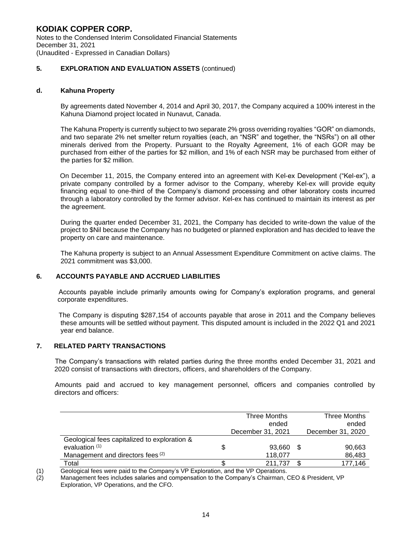**KODIAK COPPER CORP.**  Notes to the Condensed Interim Consolidated Financial Statements December 31, 2021 (Unaudited - Expressed in Canadian Dollars)

#### **5. EXPLORATION AND EVALUATION ASSETS** (continued)

#### **d. Kahuna Property**

 By agreements dated November 4, 2014 and April 30, 2017, the Company acquired a 100% interest in the Kahuna Diamond project located in Nunavut, Canada.

 The Kahuna Property is currently subject to two separate 2% gross overriding royalties "GOR" on diamonds, and two separate 2% net smelter return royalties (each, an "NSR" and together, the "NSRs") on all other minerals derived from the Property. Pursuant to the Royalty Agreement, 1% of each GOR may be purchased from either of the parties for \$2 million, and 1% of each NSR may be purchased from either of the parties for \$2 million.

 On December 11, 2015, the Company entered into an agreement with Kel-ex Development ("Kel-ex"), a private company controlled by a former advisor to the Company, whereby Kel-ex will provide equity financing equal to one-third of the Company's diamond processing and other laboratory costs incurred through a laboratory controlled by the former advisor. Kel-ex has continued to maintain its interest as per the agreement.

During the quarter ended December 31, 2021, the Company has decided to write-down the value of the project to \$Nil because the Company has no budgeted or planned exploration and has decided to leave the property on care and maintenance.

The Kahuna property is subject to an Annual Assessment Expenditure Commitment on active claims. The 2021 commitment was \$3,000.

#### **6. ACCOUNTS PAYABLE AND ACCRUED LIABILITIES**

 Accounts payable include primarily amounts owing for Company's exploration programs, and general corporate expenditures.

 The Company is disputing \$287,154 of accounts payable that arose in 2011 and the Company believes these amounts will be settled without payment. This disputed amount is included in the 2022 Q1 and 2021 year end balance.

#### **7. RELATED PARTY TRANSACTIONS**

 The Company's transactions with related parties during the three months ended December 31, 2021 and 2020 consist of transactions with directors, officers, and shareholders of the Company.

 Amounts paid and accrued to key management personnel, officers and companies controlled by directors and officers:

|                                              | <b>Three Months</b><br>ended | Three Months<br>ended |                   |
|----------------------------------------------|------------------------------|-----------------------|-------------------|
|                                              | December 31, 2021            |                       | December 31, 2020 |
| Geological fees capitalized to exploration & |                              |                       |                   |
| evaluation $(1)$                             | 93,660                       | \$                    | 90,663            |
| Management and directors fees (2)            | 118,077                      |                       | 86,483            |
| Total                                        | 211.737                      |                       | 177,146           |

(1) Geological fees were paid to the Company's VP Exploration, and the VP Operations.

(2) Management fees includes salaries and compensation to the Company's Chairman, CEO & President, VP Exploration, VP Operations, and the CFO.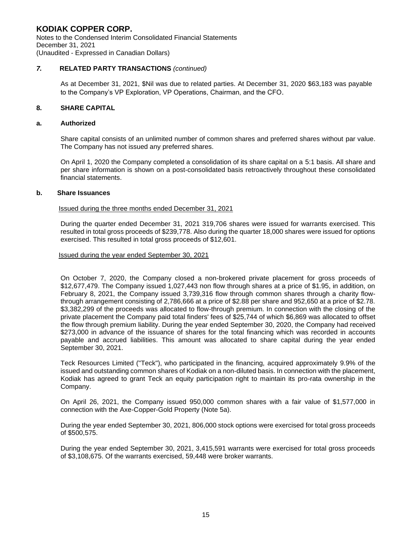#### **KODIAK COPPER CORP.**  Notes to the Condensed Interim Consolidated Financial Statements December 31, 2021

(Unaudited - Expressed in Canadian Dollars)

#### *7.* **RELATED PARTY TRANSACTIONS** *(continued)*

 As at December 31, 2021, \$Nil was due to related parties. At December 31, 2020 \$63,183 was payable to the Company's VP Exploration, VP Operations, Chairman, and the CFO.

#### **8. SHARE CAPITAL**

#### **a. Authorized**

Share capital consists of an unlimited number of common shares and preferred shares without par value. The Company has not issued any preferred shares.

On April 1, 2020 the Company completed a consolidation of its share capital on a 5:1 basis. All share and per share information is shown on a post-consolidated basis retroactively throughout these consolidated financial statements.

#### **b. Share Issuances**

#### Issued during the three months ended December 31, 2021

During the quarter ended December 31, 2021 319,706 shares were issued for warrants exercised. This resulted in total gross proceeds of \$239,778. Also during the quarter 18,000 shares were issued for options exercised. This resulted in total gross proceeds of \$12,601.

Issued during the year ended September 30, 2021

On October 7, 2020, the Company closed a non-brokered private placement for gross proceeds of \$12,677,479. The Company issued 1,027,443 non flow through shares at a price of \$1.95, in addition, on February 8, 2021, the Company issued 3,739,316 flow through common shares through a charity flowthrough arrangement consisting of 2,786,666 at a price of \$2.88 per share and 952,650 at a price of \$2.78. \$3,382,299 of the proceeds was allocated to flow-through premium. In connection with the closing of the private placement the Company paid total finders' fees of \$25,744 of which \$6,869 was allocated to offset the flow through premium liability. During the year ended September 30, 2020, the Company had received \$273,000 in advance of the issuance of shares for the total financing which was recorded in accounts payable and accrued liabilities. This amount was allocated to share capital during the year ended September 30, 2021.

Teck Resources Limited ("Teck"), who participated in the financing, acquired approximately 9.9% of the issued and outstanding common shares of Kodiak on a non-diluted basis. In connection with the placement, Kodiak has agreed to grant Teck an equity participation right to maintain its pro-rata ownership in the Company.

On April 26, 2021, the Company issued 950,000 common shares with a fair value of \$1,577,000 in connection with the Axe-Copper-Gold Property (Note 5a).

During the year ended September 30, 2021, 806,000 stock options were exercised for total gross proceeds of \$500,575.

During the year ended September 30, 2021, 3,415,591 warrants were exercised for total gross proceeds of \$3,108,675. Of the warrants exercised, 59,448 were broker warrants.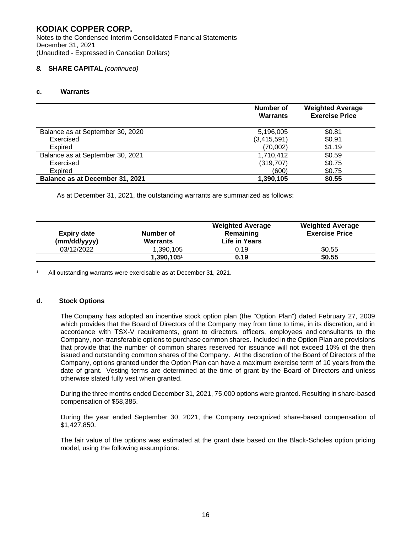Notes to the Condensed Interim Consolidated Financial Statements December 31, 2021 (Unaudited - Expressed in Canadian Dollars)

#### *8.* **SHARE CAPITAL** *(continued)*

#### **c. Warrants**

|                                  | <b>Number of</b><br><b>Warrants</b> | <b>Weighted Average</b><br><b>Exercise Price</b> |
|----------------------------------|-------------------------------------|--------------------------------------------------|
| Balance as at September 30, 2020 | 5,196,005                           | \$0.81                                           |
| Exercised                        | (3,415,591)                         | \$0.91                                           |
| Expired                          | (70,002)                            | \$1.19                                           |
| Balance as at September 30, 2021 | 1,710,412                           | \$0.59                                           |
| Exercised                        | (319, 707)                          | \$0.75                                           |
| Expired                          | (600)                               | \$0.75                                           |
| Balance as at December 31, 2021  | 1,390,105                           | \$0.55                                           |

As at December 31, 2021, the outstanding warrants are summarized as follows:

| <b>Expiry date</b><br>(mm/dd/yyyy) | Number of<br><b>Warrants</b> | <b>Weighted Average</b><br>Remaining<br>Life in Years | <b>Weighted Average</b><br><b>Exercise Price</b> |
|------------------------------------|------------------------------|-------------------------------------------------------|--------------------------------------------------|
| 03/12/2022                         | 1.390.105                    | 0.19                                                  | \$0.55                                           |
|                                    | 1,390,105                    | 0.19                                                  | \$0.55                                           |

<sup>1</sup> All outstanding warrants were exercisable as at December 31, 2021.

#### **d. Stock Options**

 The Company has adopted an incentive stock option plan (the "Option Plan") dated February 27, 2009 which provides that the Board of Directors of the Company may from time to time, in its discretion, and in accordance with TSX-V requirements, grant to directors, officers, employees and consultants to the Company, non-transferable options to purchase common shares. Included in the Option Plan are provisions that provide that the number of common shares reserved for issuance will not exceed 10% of the then issued and outstanding common shares of the Company. At the discretion of the Board of Directors of the Company, options granted under the Option Plan can have a maximum exercise term of 10 years from the date of grant. Vesting terms are determined at the time of grant by the Board of Directors and unless otherwise stated fully vest when granted.

During the three months ended December 31, 2021, 75,000 options were granted. Resulting in share-based compensation of \$58,385.

 During the year ended September 30, 2021, the Company recognized share-based compensation of \$1,427,850.

The fair value of the options was estimated at the grant date based on the Black-Scholes option pricing model, using the following assumptions: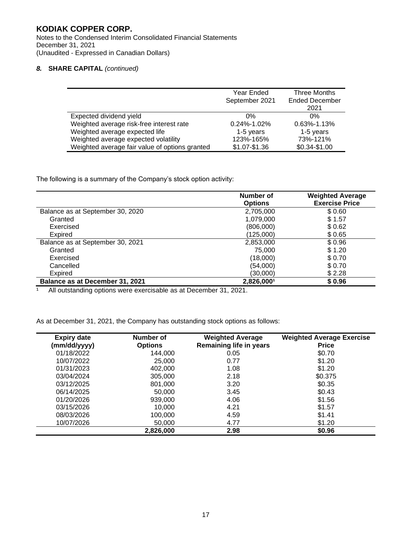Notes to the Condensed Interim Consolidated Financial Statements December 31, 2021 (Unaudited - Expressed in Canadian Dollars)

#### *8.* **SHARE CAPITAL** *(continued)*

|                                                | Year Ended<br>September 2021 | Three Months<br><b>Ended December</b> |
|------------------------------------------------|------------------------------|---------------------------------------|
|                                                |                              | 2021                                  |
| Expected dividend yield                        | 0%                           | 0%                                    |
| Weighted average risk-free interest rate       | $0.24\% - 1.02\%$            | $0.63\% - 1.13\%$                     |
| Weighted average expected life                 | 1-5 years                    | 1-5 years                             |
| Weighted average expected volatility           | 123%-165%                    | 73%-121%                              |
| Weighted average fair value of options granted | \$1.07-\$1.36                | \$0.34-\$1.00                         |

The following is a summary of the Company's stock option activity:

|                                  | Number of      | <b>Weighted Average</b> |
|----------------------------------|----------------|-------------------------|
|                                  | <b>Options</b> | <b>Exercise Price</b>   |
| Balance as at September 30, 2020 | 2,705,000      | \$0.60                  |
| Granted                          | 1,079,000      | \$1.57                  |
| Exercised                        | (806,000)      | \$0.62                  |
| Expired                          | (125,000)      | \$0.65                  |
| Balance as at September 30, 2021 | 2,853,000      | \$0.96                  |
| Granted                          | 75,000         | \$1.20                  |
| Exercised                        | (18,000)       | \$0.70                  |
| Cancelled                        | (54,000)       | \$0.70                  |
| Expired                          | (30,000)       | \$2.28                  |
| Balance as at December 31, 2021  | 2,826,0001     | \$0.96                  |

<sup>1</sup> All outstanding options were exercisable as at December 31, 2021.

As at December 31, 2021, the Company has outstanding stock options as follows:

| <b>Expiry date</b> | Number of      | <b>Weighted Average</b>        | <b>Weighted Average Exercise</b> |
|--------------------|----------------|--------------------------------|----------------------------------|
| (mm/dd/yyyy)       | <b>Options</b> | <b>Remaining life in years</b> | <b>Price</b>                     |
| 01/18/2022         | 144,000        | 0.05                           | \$0.70                           |
| 10/07/2022         | 25,000         | 0.77                           | \$1.20                           |
| 01/31/2023         | 402.000        | 1.08                           | \$1.20                           |
| 03/04/2024         | 305,000        | 2.18                           | \$0.375                          |
| 03/12/2025         | 801,000        | 3.20                           | \$0.35                           |
| 06/14/2025         | 50,000         | 3.45                           | \$0.43                           |
| 01/20/2026         | 939,000        | 4.06                           | \$1.56                           |
| 03/15/2026         | 10.000         | 4.21                           | \$1.57                           |
| 08/03/2026         | 100,000        | 4.59                           | \$1.41                           |
| 10/07/2026         | 50,000         | 4.77                           | \$1.20                           |
|                    | 2,826,000      | 2.98                           | \$0.96                           |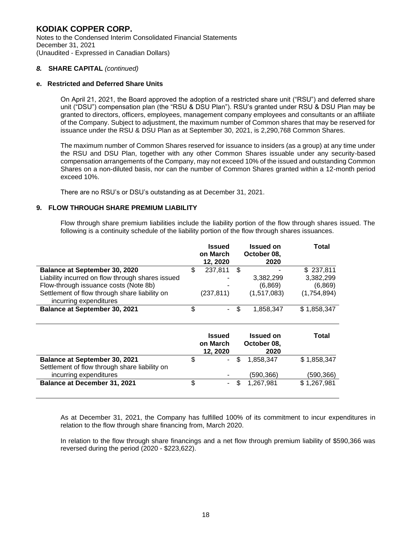Notes to the Condensed Interim Consolidated Financial Statements December 31, 2021 (Unaudited - Expressed in Canadian Dollars)

#### *8.* **SHARE CAPITAL** *(continued)*

#### **e. Restricted and Deferred Share Units**

 On April 21, 2021, the Board approved the adoption of a restricted share unit ("RSU") and deferred share unit ("DSU") compensation plan (the "RSU & DSU Plan"). RSU's granted under RSU & DSU Plan may be granted to directors, officers, employees, management company employees and consultants or an affiliate of the Company. Subject to adjustment, the maximum number of Common shares that may be reserved for issuance under the RSU & DSU Plan as at September 30, 2021, is 2,290,768 Common Shares.

The maximum number of Common Shares reserved for issuance to insiders (as a group) at any time under the RSU and DSU Plan, together with any other Common Shares issuable under any security-based compensation arrangements of the Company, may not exceed 10% of the issued and outstanding Common Shares on a non-diluted basis, nor can the number of Common Shares granted within a 12-month period exceed 10%.

There are no RSU's or DSU's outstanding as at December 31, 2021.

#### **9. FLOW THROUGH SHARE PREMIUM LIABILITY**

Flow through share premium liabilities include the liability portion of the flow through shares issued. The following is a continuity schedule of the liability portion of the flow through shares issuances.

|                                                                         | Issued<br>on March<br>12, 2020        | <b>Issued on</b><br>October 08,<br>2020 | Total       |
|-------------------------------------------------------------------------|---------------------------------------|-----------------------------------------|-------------|
| <b>Balance at September 30, 2020</b>                                    | \$<br>237,811                         | \$                                      | \$237,811   |
| Liability incurred on flow through shares issued                        |                                       | 3,382,299                               | 3,382,299   |
| Flow-through issuance costs (Note 8b)                                   |                                       | (6, 869)                                | (6,869)     |
| Settlement of flow through share liability on<br>incurring expenditures | (237, 811)                            | (1,517,083)                             | (1,754,894) |
| <b>Balance at September 30, 2021</b>                                    | \$                                    | \$<br>1,858,347                         | \$1,858,347 |
|                                                                         |                                       |                                         |             |
|                                                                         | <b>Issued</b><br>on March<br>12, 2020 | <b>Issued on</b><br>October 08,<br>2020 | Total       |
| Balance at September 30, 2021                                           | \$                                    | \$<br>1,858,347                         | \$1,858,347 |
| Settlement of flow through share liability on                           |                                       |                                         |             |
| incurring expenditures                                                  |                                       | (590,366)                               | (590,366)   |
| <b>Balance at December 31, 2021</b>                                     | \$<br>۰                               | \$<br>1,267,981                         | \$1,267,981 |

As at December 31, 2021, the Company has fulfilled 100% of its commitment to incur expenditures in relation to the flow through share financing from, March 2020.

 In relation to the flow through share financings and a net flow through premium liability of \$590,366 was reversed during the period (2020 - \$223,622).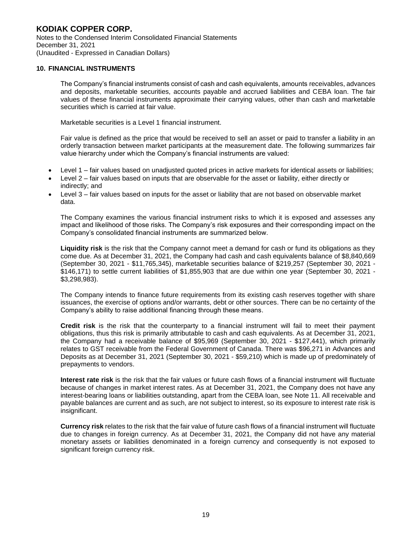Notes to the Condensed Interim Consolidated Financial Statements December 31, 2021 (Unaudited - Expressed in Canadian Dollars)

#### **10. FINANCIAL INSTRUMENTS**

 The Company's financial instruments consist of cash and cash equivalents, amounts receivables, advances and deposits, marketable securities, accounts payable and accrued liabilities and CEBA loan. The fair values of these financial instruments approximate their carrying values, other than cash and marketable securities which is carried at fair value.

Marketable securities is a Level 1 financial instrument.

Fair value is defined as the price that would be received to sell an asset or paid to transfer a liability in an orderly transaction between market participants at the measurement date. The following summarizes fair value hierarchy under which the Company's financial instruments are valued:

- Level 1 fair values based on unadjusted quoted prices in active markets for identical assets or liabilities;
- Level 2 fair values based on inputs that are observable for the asset or liability, either directly or indirectly; and
- Level 3 fair values based on inputs for the asset or liability that are not based on observable market data.

The Company examines the various financial instrument risks to which it is exposed and assesses any impact and likelihood of those risks. The Company's risk exposures and their corresponding impact on the Company's consolidated financial instruments are summarized below.

 **Liquidity risk** is the risk that the Company cannot meet a demand for cash or fund its obligations as they come due. As at December 31, 2021, the Company had cash and cash equivalents balance of \$8,840,669 (September 30, 2021 - \$11,765,345), marketable securities balance of \$219,257 (September 30, 2021 - \$146,171) to settle current liabilities of \$1,855,903 that are due within one year (September 30, 2021 - \$3,298,983).

 The Company intends to finance future requirements from its existing cash reserves together with share issuances, the exercise of options and/or warrants, debt or other sources. There can be no certainty of the Company's ability to raise additional financing through these means.

 **Credit risk** is the risk that the counterparty to a financial instrument will fail to meet their payment obligations, thus this risk is primarily attributable to cash and cash equivalents. As at December 31, 2021, the Company had a receivable balance of \$95,969 (September 30, 2021 - \$127,441), which primarily relates to GST receivable from the Federal Government of Canada. There was \$96,271 in Advances and Deposits as at December 31, 2021 (September 30, 2021 - \$59,210) which is made up of predominately of prepayments to vendors.

 **Interest rate risk** is the risk that the fair values or future cash flows of a financial instrument will fluctuate because of changes in market interest rates. As at December 31, 2021, the Company does not have any interest-bearing loans or liabilities outstanding, apart from the CEBA loan, see Note 11. All receivable and payable balances are current and as such, are not subject to interest, so its exposure to interest rate risk is insignificant.

 **Currency risk** relates to the risk that the fair value of future cash flows of a financial instrument will fluctuate due to changes in foreign currency. As at December 31, 2021, the Company did not have any material monetary assets or liabilities denominated in a foreign currency and consequently is not exposed to significant foreign currency risk.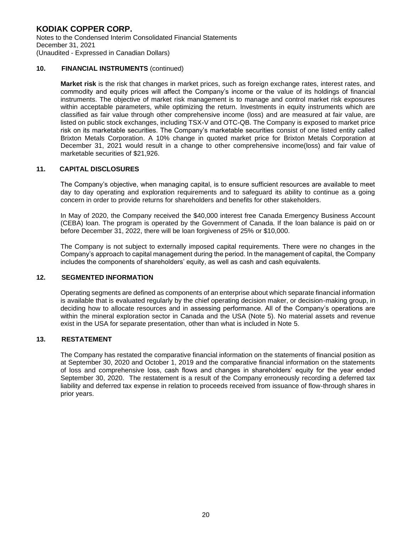#### **KODIAK COPPER CORP.**  Notes to the Condensed Interim Consolidated Financial Statements December 31, 2021

(Unaudited - Expressed in Canadian Dollars)

#### **10. FINANCIAL INSTRUMENTS** (continued)

**Market risk** is the risk that changes in market prices, such as foreign exchange rates, interest rates, and commodity and equity prices will affect the Company's income or the value of its holdings of financial instruments. The objective of market risk management is to manage and control market risk exposures within acceptable parameters, while optimizing the return. Investments in equity instruments which are classified as fair value through other comprehensive income (loss) and are measured at fair value, are listed on public stock exchanges, including TSX-V and OTC-QB. The Company is exposed to market price risk on its marketable securities. The Company's marketable securities consist of one listed entity called Brixton Metals Corporation. A 10% change in quoted market price for Brixton Metals Corporation at December 31, 2021 would result in a change to other comprehensive income(loss) and fair value of marketable securities of \$21,926.

#### **11. CAPITAL DISCLOSURES**

The Company's objective, when managing capital, is to ensure sufficient resources are available to meet day to day operating and exploration requirements and to safeguard its ability to continue as a going concern in order to provide returns for shareholders and benefits for other stakeholders.

In May of 2020, the Company received the \$40,000 interest free Canada Emergency Business Account (CEBA) loan. The program is operated by the Government of Canada. If the loan balance is paid on or before December 31, 2022, there will be loan forgiveness of 25% or \$10,000.

The Company is not subject to externally imposed capital requirements. There were no changes in the Company's approach to capital management during the period. In the management of capital, the Company includes the components of shareholders' equity, as well as cash and cash equivalents.

#### **12. SEGMENTED INFORMATION**

 Operating segments are defined as components of an enterprise about which separate financial information is available that is evaluated regularly by the chief operating decision maker, or decision-making group, in deciding how to allocate resources and in assessing performance. All of the Company's operations are within the mineral exploration sector in Canada and the USA (Note 5). No material assets and revenue exist in the USA for separate presentation, other than what is included in Note 5.

#### **13. RESTATEMENT**

 The Company has restated the comparative financial information on the statements of financial position as at September 30, 2020 and October 1, 2019 and the comparative financial information on the statements of loss and comprehensive loss, cash flows and changes in shareholders' equity for the year ended September 30, 2020. The restatement is a result of the Company erroneously recording a deferred tax liability and deferred tax expense in relation to proceeds received from issuance of flow-through shares in prior years.